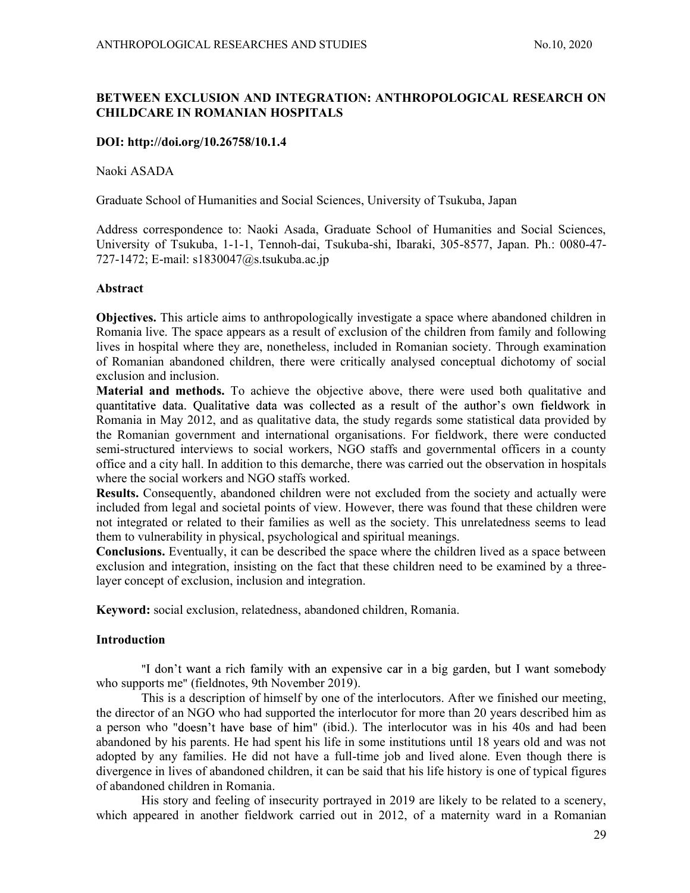# BETWEEN EXCLUSION AND INTEGRATION: ANTHROPOLOGICAL RESEARCH ON CHILDCARE IN ROMANIAN HOSPITALS

## DOI: http://doi.org/10.26758/10.1.4

Naoki ASADA

Graduate School of Humanities and Social Sciences, University of Tsukuba, Japan

Address correspondence to: Naoki Asada, Graduate School of Humanities and Social Sciences, University of Tsukuba, 1-1-1, Tennoh-dai, Tsukuba-shi, Ibaraki, 305-8577, Japan. Ph.: 0080-47- 727-1472; E-mail: s1830047@s.tsukuba.ac.jp

### Abstract

Objectives. This article aims to anthropologically investigate a space where abandoned children in Romania live. The space appears as a result of exclusion of the children from family and following lives in hospital where they are, nonetheless, included in Romanian society. Through examination of Romanian abandoned children, there were critically analysed conceptual dichotomy of social exclusion and inclusion.

Material and methods. To achieve the objective above, there were used both qualitative and quantitative data. Qualitative data was collected as a result of the author's own fieldwork in Romania in May 2012, and as qualitative data, the study regards some statistical data provided by the Romanian government and international organisations. For fieldwork, there were conducted semi-structured interviews to social workers, NGO staffs and governmental officers in a county office and a city hall. In addition to this demarche, there was carried out the observation in hospitals where the social workers and NGO staffs worked.

Results. Consequently, abandoned children were not excluded from the society and actually were included from legal and societal points of view. However, there was found that these children were not integrated or related to their families as well as the society. This unrelatedness seems to lead them to vulnerability in physical, psychological and spiritual meanings.

Conclusions. Eventually, it can be described the space where the children lived as a space between exclusion and integration, insisting on the fact that these children need to be examined by a threelayer concept of exclusion, inclusion and integration.

Keyword: social exclusion, relatedness, abandoned children, Romania.

## Introduction

"I don't want a rich family with an expensive car in a big garden, but I want somebody who supports me" (fieldnotes, 9th November 2019).

This is a description of himself by one of the interlocutors. After we finished our meeting, the director of an NGO who had supported the interlocutor for more than 20 years described him as a person who "doesn't have base of him" (ibid.). The interlocutor was in his 40s and had been abandoned by his parents. He had spent his life in some institutions until 18 years old and was not adopted by any families. He did not have a full-time job and lived alone. Even though there is divergence in lives of abandoned children, it can be said that his life history is one of typical figures of abandoned children in Romania.

His story and feeling of insecurity portrayed in 2019 are likely to be related to a scenery, which appeared in another fieldwork carried out in 2012, of a maternity ward in a Romanian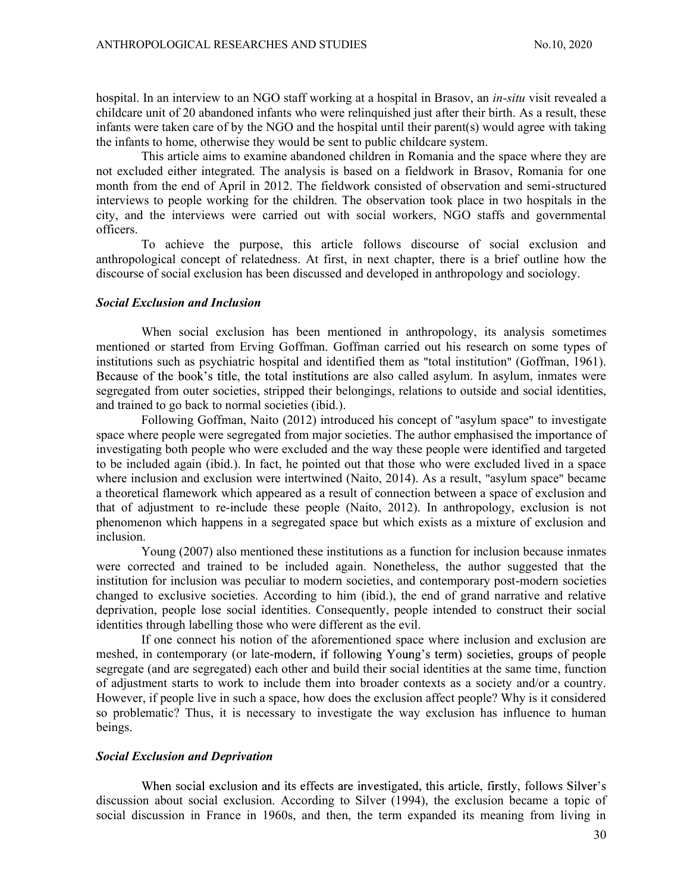hospital. In an interview to an NGO staff working at a hospital in Brasov, an *in-situ* visit revealed a childcare unit of 20 abandoned infants who were relinquished just after their birth. As a result, these infants were taken care of by the NGO and the hospital until their parent(s) would agree with taking the infants to home, otherwise they would be sent to public childcare system.

This article aims to examine abandoned children in Romania and the space where they are not excluded either integrated. The analysis is based on a fieldwork in Brasov, Romania for one month from the end of April in 2012. The fieldwork consisted of observation and semi-structured interviews to people working for the children. The observation took place in two hospitals in the city, and the interviews were carried out with social workers, NGO staffs and governmental officers.

To achieve the purpose, this article follows discourse of social exclusion and anthropological concept of relatedness. At first, in next chapter, there is a brief outline how the discourse of social exclusion has been discussed and developed in anthropology and sociology.

#### Social Exclusion and Inclusion

When social exclusion has been mentioned in anthropology, its analysis sometimes mentioned or started from Erving Goffman. Goffman carried out his research on some types of institutions such as psychiatric hospital and identified them as "total institution" (Goffman, 1961). Because of the book's title, the total institutions are also called asylum. In asylum, inmates were segregated from outer societies, stripped their belongings, relations to outside and social identities, and trained to go back to normal societies (ibid.).

Following Goffman, Naito (2012) introduced his concept of "asylum space" to investigate space where people were segregated from major societies. The author emphasised the importance of investigating both people who were excluded and the way these people were identified and targeted to be included again (ibid.). In fact, he pointed out that those who were excluded lived in a space where inclusion and exclusion were intertwined (Naito, 2014). As a result, "asylum space" became a theoretical flamework which appeared as a result of connection between a space of exclusion and that of adjustment to re-include these people (Naito, 2012). In anthropology, exclusion is not phenomenon which happens in a segregated space but which exists as a mixture of exclusion and inclusion.

Young (2007) also mentioned these institutions as a function for inclusion because inmates were corrected and trained to be included again. Nonetheless, the author suggested that the institution for inclusion was peculiar to modern societies, and contemporary post-modern societies changed to exclusive societies. According to him (ibid.), the end of grand narrative and relative deprivation, people lose social identities. Consequently, people intended to construct their social identities through labelling those who were different as the evil.

If one connect his notion of the aforementioned space where inclusion and exclusion are meshed, in contemporary (or late-modern, if following Young's term) societies, groups of people segregate (and are segregated) each other and build their social identities at the same time, function of adjustment starts to work to include them into broader contexts as a society and/or a country. However, if people live in such a space, how does the exclusion affect people? Why is it considered so problematic? Thus, it is necessary to investigate the way exclusion has influence to human beings.

## Social Exclusion and Deprivation

When social exclusion and its effects are investigated, this article, firstly, follows Silver's discussion about social exclusion. According to Silver (1994), the exclusion became a topic of social discussion in France in 1960s, and then, the term expanded its meaning from living in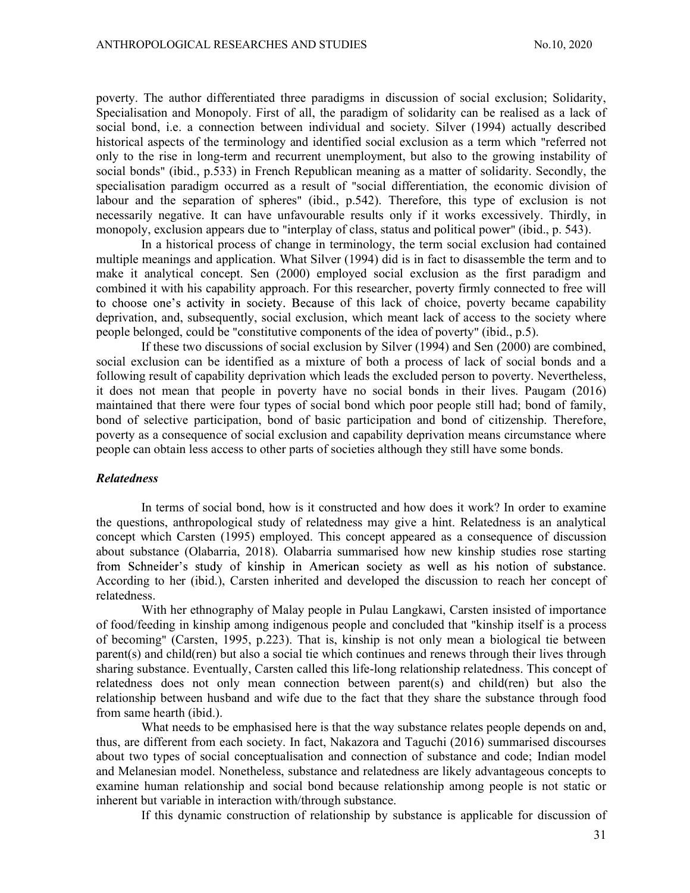poverty. The author differentiated three paradigms in discussion of social exclusion; Solidarity, Specialisation and Monopoly. First of all, the paradigm of solidarity can be realised as a lack of social bond, i.e. a connection between individual and society. Silver (1994) actually described historical aspects of the terminology and identified social exclusion as a term which "referred not only to the rise in long-term and recurrent unemployment, but also to the growing instability of social bonds" (ibid., p.533) in French Republican meaning as a matter of solidarity. Secondly, the specialisation paradigm occurred as a result of "social differentiation, the economic division of labour and the separation of spheres" (ibid., p.542). Therefore, this type of exclusion is not necessarily negative. It can have unfavourable results only if it works excessively. Thirdly, in monopoly, exclusion appears due to "interplay of class, status and political power" (ibid., p. 543).

In a historical process of change in terminology, the term social exclusion had contained multiple meanings and application. What Silver (1994) did is in fact to disassemble the term and to make it analytical concept. Sen (2000) employed social exclusion as the first paradigm and combined it with his capability approach. For this researcher, poverty firmly connected to free will to choose one's activity in society. Because of this lack of choice, poverty became capability deprivation, and, subsequently, social exclusion, which meant lack of access to the society where people belonged, could be "constitutive components of the idea of poverty" (ibid., p.5).

If these two discussions of social exclusion by Silver (1994) and Sen (2000) are combined, social exclusion can be identified as a mixture of both a process of lack of social bonds and a following result of capability deprivation which leads the excluded person to poverty. Nevertheless, it does not mean that people in poverty have no social bonds in their lives. Paugam (2016) maintained that there were four types of social bond which poor people still had; bond of family, bond of selective participation, bond of basic participation and bond of citizenship. Therefore, poverty as a consequence of social exclusion and capability deprivation means circumstance where people can obtain less access to other parts of societies although they still have some bonds.

#### Relatedness

In terms of social bond, how is it constructed and how does it work? In order to examine the questions, anthropological study of relatedness may give a hint. Relatedness is an analytical concept which Carsten (1995) employed. This concept appeared as a consequence of discussion about substance (Olabarria, 2018). Olabarria summarised how new kinship studies rose starting from Schneider's study of kinship in American society as well as his notion of substance. According to her (ibid.), Carsten inherited and developed the discussion to reach her concept of relatedness.

With her ethnography of Malay people in Pulau Langkawi, Carsten insisted of importance of food/feeding in kinship among indigenous people and concluded that "kinship itself is a process of becoming" (Carsten, 1995, p.223). That is, kinship is not only mean a biological tie between parent(s) and child(ren) but also a social tie which continues and renews through their lives through sharing substance. Eventually, Carsten called this life-long relationship relatedness. This concept of relatedness does not only mean connection between parent(s) and child(ren) but also the relationship between husband and wife due to the fact that they share the substance through food from same hearth (ibid.).

What needs to be emphasised here is that the way substance relates people depends on and, thus, are different from each society. In fact, Nakazora and Taguchi (2016) summarised discourses about two types of social conceptualisation and connection of substance and code; Indian model and Melanesian model. Nonetheless, substance and relatedness are likely advantageous concepts to examine human relationship and social bond because relationship among people is not static or inherent but variable in interaction with/through substance.

If this dynamic construction of relationship by substance is applicable for discussion of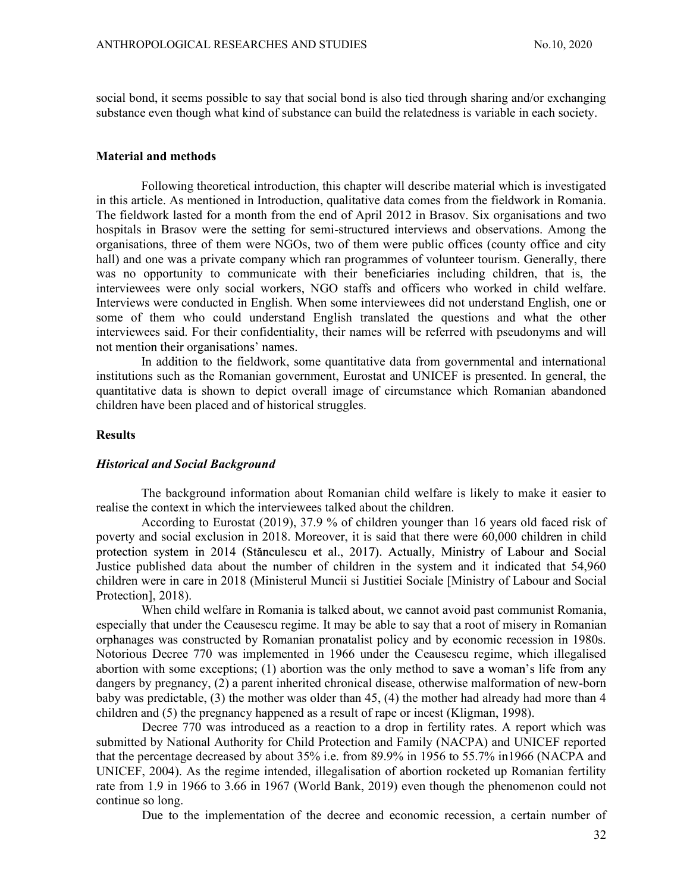social bond, it seems possible to say that social bond is also tied through sharing and/or exchanging substance even though what kind of substance can build the relatedness is variable in each society.

### Material and methods

Following theoretical introduction, this chapter will describe material which is investigated in this article. As mentioned in Introduction, qualitative data comes from the fieldwork in Romania. The fieldwork lasted for a month from the end of April 2012 in Brasov. Six organisations and two hospitals in Brasov were the setting for semi-structured interviews and observations. Among the organisations, three of them were NGOs, two of them were public offices (county office and city hall) and one was a private company which ran programmes of volunteer tourism. Generally, there was no opportunity to communicate with their beneficiaries including children, that is, the interviewees were only social workers, NGO staffs and officers who worked in child welfare. Interviews were conducted in English. When some interviewees did not understand English, one or some of them who could understand English translated the questions and what the other interviewees said. For their confidentiality, their names will be referred with pseudonyms and will not mention their organisations' names.

In addition to the fieldwork, some quantitative data from governmental and international institutions such as the Romanian government, Eurostat and UNICEF is presented. In general, the quantitative data is shown to depict overall image of circumstance which Romanian abandoned children have been placed and of historical struggles.

### **Results**

#### Historical and Social Background

The background information about Romanian child welfare is likely to make it easier to realise the context in which the interviewees talked about the children.

According to Eurostat (2019), 37.9 % of children younger than 16 years old faced risk of poverty and social exclusion in 2018. Moreover, it is said that there were 60,000 children in child protection system in 2014 (Stănculescu et al., 2017). Actually, Ministry of Labour and Social Justice published data about the number of children in the system and it indicated that 54,960 children were in care in 2018 (Ministerul Muncii si Justitiei Sociale [Ministry of Labour and Social Protection], 2018).

When child welfare in Romania is talked about, we cannot avoid past communist Romania, especially that under the Ceausescu regime. It may be able to say that a root of misery in Romanian orphanages was constructed by Romanian pronatalist policy and by economic recession in 1980s. Notorious Decree 770 was implemented in 1966 under the Ceausescu regime, which illegalised abortion with some exceptions; (1) abortion was the only method to save a woman's life from any dangers by pregnancy, (2) a parent inherited chronical disease, otherwise malformation of new-born baby was predictable, (3) the mother was older than 45, (4) the mother had already had more than 4 children and (5) the pregnancy happened as a result of rape or incest (Kligman, 1998).

Decree 770 was introduced as a reaction to a drop in fertility rates. A report which was submitted by National Authority for Child Protection and Family (NACPA) and UNICEF reported that the percentage decreased by about 35% i.e. from 89.9% in 1956 to 55.7% in1966 (NACPA and UNICEF, 2004). As the regime intended, illegalisation of abortion rocketed up Romanian fertility rate from 1.9 in 1966 to 3.66 in 1967 (World Bank, 2019) even though the phenomenon could not continue so long.

Due to the implementation of the decree and economic recession, a certain number of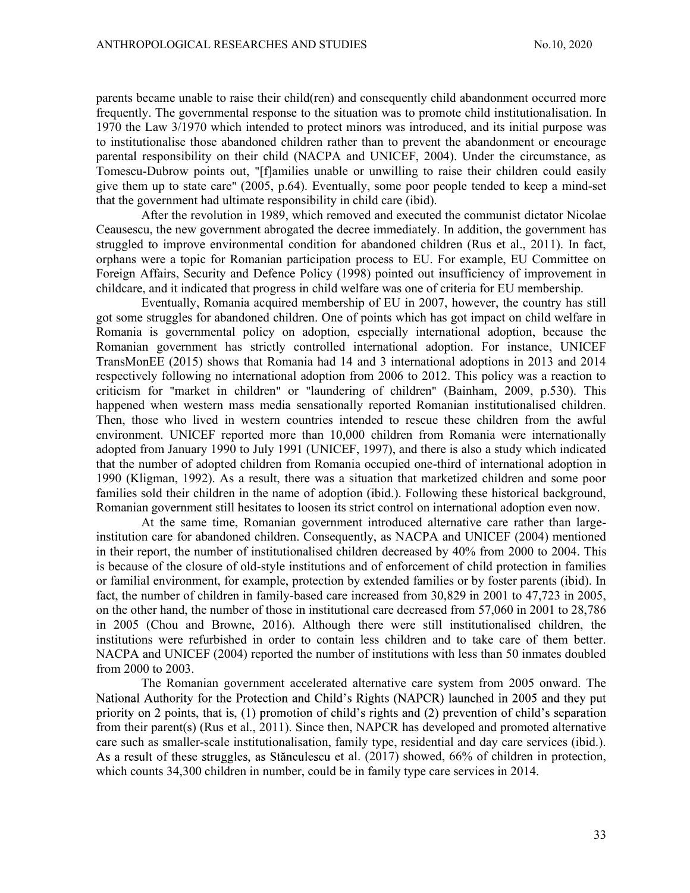parents became unable to raise their child(ren) and consequently child abandonment occurred more frequently. The governmental response to the situation was to promote child institutionalisation. In 1970 the Law 3/1970 which intended to protect minors was introduced, and its initial purpose was to institutionalise those abandoned children rather than to prevent the abandonment or encourage parental responsibility on their child (NACPA and UNICEF, 2004). Under the circumstance, as Tomescu-Dubrow points out, "[f]amilies unable or unwilling to raise their children could easily give them up to state care" (2005, p.64). Eventually, some poor people tended to keep a mind-set that the government had ultimate responsibility in child care (ibid).

After the revolution in 1989, which removed and executed the communist dictator Nicolae Ceausescu, the new government abrogated the decree immediately. In addition, the government has struggled to improve environmental condition for abandoned children (Rus et al., 2011). In fact, orphans were a topic for Romanian participation process to EU. For example, EU Committee on Foreign Affairs, Security and Defence Policy (1998) pointed out insufficiency of improvement in childcare, and it indicated that progress in child welfare was one of criteria for EU membership.

Eventually, Romania acquired membership of EU in 2007, however, the country has still got some struggles for abandoned children. One of points which has got impact on child welfare in Romania is governmental policy on adoption, especially international adoption, because the Romanian government has strictly controlled international adoption. For instance, UNICEF TransMonEE (2015) shows that Romania had 14 and 3 international adoptions in 2013 and 2014 respectively following no international adoption from 2006 to 2012. This policy was a reaction to criticism for "market in children" or "laundering of children" (Bainham, 2009, p.530). This happened when western mass media sensationally reported Romanian institutionalised children. Then, those who lived in western countries intended to rescue these children from the awful environment. UNICEF reported more than 10,000 children from Romania were internationally adopted from January 1990 to July 1991 (UNICEF, 1997), and there is also a study which indicated that the number of adopted children from Romania occupied one-third of international adoption in 1990 (Kligman, 1992). As a result, there was a situation that marketized children and some poor families sold their children in the name of adoption (ibid.). Following these historical background, Romanian government still hesitates to loosen its strict control on international adoption even now.

At the same time, Romanian government introduced alternative care rather than largeinstitution care for abandoned children. Consequently, as NACPA and UNICEF (2004) mentioned in their report, the number of institutionalised children decreased by 40% from 2000 to 2004. This is because of the closure of old-style institutions and of enforcement of child protection in families or familial environment, for example, protection by extended families or by foster parents (ibid). In fact, the number of children in family-based care increased from 30,829 in 2001 to 47,723 in 2005, on the other hand, the number of those in institutional care decreased from 57,060 in 2001 to 28,786 in 2005 (Chou and Browne, 2016). Although there were still institutionalised children, the institutions were refurbished in order to contain less children and to take care of them better. NACPA and UNICEF (2004) reported the number of institutions with less than 50 inmates doubled from 2000 to 2003.

The Romanian government accelerated alternative care system from 2005 onward. The National Authority for the Protection and Child's Rights (NAPCR) launched in 2005 and they put priority on 2 points, that is,  $(1)$  promotion of child's rights and  $(2)$  prevention of child's separation from their parent(s) (Rus et al., 2011). Since then, NAPCR has developed and promoted alternative care such as smaller-scale institutionalisation, family type, residential and day care services (ibid.). As a result of these struggles, as Stănculescu et al. (2017) showed, 66% of children in protection, which counts 34,300 children in number, could be in family type care services in 2014.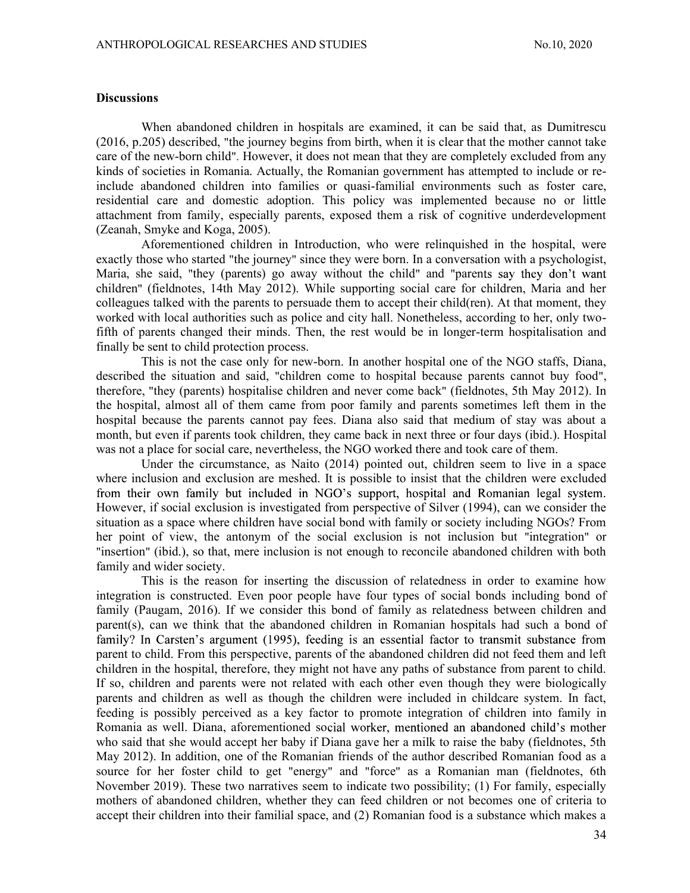### **Discussions**

When abandoned children in hospitals are examined, it can be said that, as Dumitrescu (2016, p.205) described, "the journey begins from birth, when it is clear that the mother cannot take care of the new-born child". However, it does not mean that they are completely excluded from any kinds of societies in Romania. Actually, the Romanian government has attempted to include or reinclude abandoned children into families or quasi-familial environments such as foster care, residential care and domestic adoption. This policy was implemented because no or little attachment from family, especially parents, exposed them a risk of cognitive underdevelopment (Zeanah, Smyke and Koga, 2005).

Aforementioned children in Introduction, who were relinquished in the hospital, were exactly those who started "the journey" since they were born. In a conversation with a psychologist, Maria, she said, "they (parents) go away without the child" and "parents say they don't want children" (fieldnotes, 14th May 2012). While supporting social care for children, Maria and her colleagues talked with the parents to persuade them to accept their child(ren). At that moment, they worked with local authorities such as police and city hall. Nonetheless, according to her, only twofifth of parents changed their minds. Then, the rest would be in longer-term hospitalisation and finally be sent to child protection process.

This is not the case only for new-born. In another hospital one of the NGO staffs, Diana, described the situation and said, "children come to hospital because parents cannot buy food", therefore, "they (parents) hospitalise children and never come back" (fieldnotes, 5th May 2012). In the hospital, almost all of them came from poor family and parents sometimes left them in the hospital because the parents cannot pay fees. Diana also said that medium of stay was about a month, but even if parents took children, they came back in next three or four days (ibid.). Hospital was not a place for social care, nevertheless, the NGO worked there and took care of them.

Under the circumstance, as Naito (2014) pointed out, children seem to live in a space where inclusion and exclusion are meshed. It is possible to insist that the children were excluded from their own family but included in NGO's support, hospital and Romanian legal system. However, if social exclusion is investigated from perspective of Silver (1994), can we consider the situation as a space where children have social bond with family or society including NGOs? From her point of view, the antonym of the social exclusion is not inclusion but "integration" or "insertion" (ibid.), so that, mere inclusion is not enough to reconcile abandoned children with both family and wider society.

This is the reason for inserting the discussion of relatedness in order to examine how integration is constructed. Even poor people have four types of social bonds including bond of family (Paugam, 2016). If we consider this bond of family as relatedness between children and parent(s), can we think that the abandoned children in Romanian hospitals had such a bond of family? In Carsten's argument (1995), feeding is an essential factor to transmit substance from parent to child. From this perspective, parents of the abandoned children did not feed them and left children in the hospital, therefore, they might not have any paths of substance from parent to child. If so, children and parents were not related with each other even though they were biologically parents and children as well as though the children were included in childcare system. In fact, feeding is possibly perceived as a key factor to promote integration of children into family in Romania as well. Diana, aforementioned social worker, mentioned an abandoned child's mother who said that she would accept her baby if Diana gave her a milk to raise the baby (fieldnotes, 5th May 2012). In addition, one of the Romanian friends of the author described Romanian food as a source for her foster child to get "energy" and "force" as a Romanian man (fieldnotes, 6th November 2019). These two narratives seem to indicate two possibility; (1) For family, especially mothers of abandoned children, whether they can feed children or not becomes one of criteria to accept their children into their familial space, and (2) Romanian food is a substance which makes a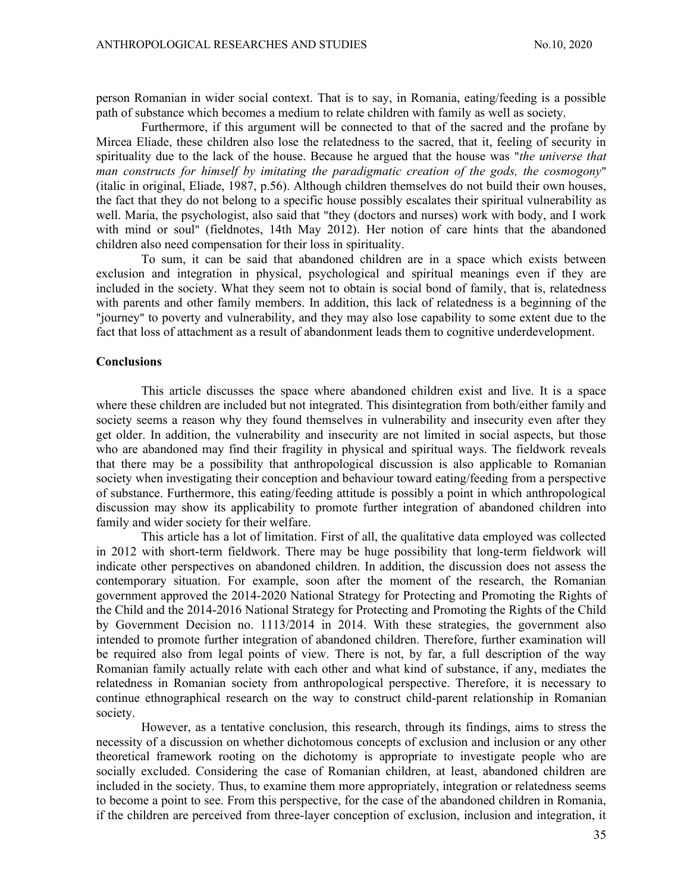person Romanian in wider social context. That is to say, in Romania, eating/feeding is a possible path of substance which becomes a medium to relate children with family as well as society.

Furthermore, if this argument will be connected to that of the sacred and the profane by Mircea Eliade, these children also lose the relatedness to the sacred, that it, feeling of security in spirituality due to the lack of the house. Because he argued that the house was "the universe that man constructs for himself by imitating the paradigmatic creation of the gods, the cosmogony" (italic in original, Eliade, 1987, p.56). Although children themselves do not build their own houses, the fact that they do not belong to a specific house possibly escalates their spiritual vulnerability as well. Maria, the psychologist, also said that "they (doctors and nurses) work with body, and I work with mind or soul" (fieldnotes, 14th May 2012). Her notion of care hints that the abandoned children also need compensation for their loss in spirituality.

To sum, it can be said that abandoned children are in a space which exists between exclusion and integration in physical, psychological and spiritual meanings even if they are included in the society. What they seem not to obtain is social bond of family, that is, relatedness with parents and other family members. In addition, this lack of relatedness is a beginning of the "journey" to poverty and vulnerability, and they may also lose capability to some extent due to the fact that loss of attachment as a result of abandonment leads them to cognitive underdevelopment.

#### **Conclusions**

This article discusses the space where abandoned children exist and live. It is a space where these children are included but not integrated. This disintegration from both/either family and society seems a reason why they found themselves in vulnerability and insecurity even after they get older. In addition, the vulnerability and insecurity are not limited in social aspects, but those who are abandoned may find their fragility in physical and spiritual ways. The fieldwork reveals that there may be a possibility that anthropological discussion is also applicable to Romanian society when investigating their conception and behaviour toward eating/feeding from a perspective of substance. Furthermore, this eating/feeding attitude is possibly a point in which anthropological discussion may show its applicability to promote further integration of abandoned children into family and wider society for their welfare.

This article has a lot of limitation. First of all, the qualitative data employed was collected in 2012 with short-term fieldwork. There may be huge possibility that long-term fieldwork will indicate other perspectives on abandoned children. In addition, the discussion does not assess the contemporary situation. For example, soon after the moment of the research, the Romanian government approved the 2014-2020 National Strategy for Protecting and Promoting the Rights of the Child and the 2014-2016 National Strategy for Protecting and Promoting the Rights of the Child by Government Decision no. 1113/2014 in 2014. With these strategies, the government also intended to promote further integration of abandoned children. Therefore, further examination will be required also from legal points of view. There is not, by far, a full description of the way Romanian family actually relate with each other and what kind of substance, if any, mediates the relatedness in Romanian society from anthropological perspective. Therefore, it is necessary to continue ethnographical research on the way to construct child-parent relationship in Romanian society.

However, as a tentative conclusion, this research, through its findings, aims to stress the necessity of a discussion on whether dichotomous concepts of exclusion and inclusion or any other theoretical framework rooting on the dichotomy is appropriate to investigate people who are socially excluded. Considering the case of Romanian children, at least, abandoned children are included in the society. Thus, to examine them more appropriately, integration or relatedness seems to become a point to see. From this perspective, for the case of the abandoned children in Romania, if the children are perceived from three-layer conception of exclusion, inclusion and integration, it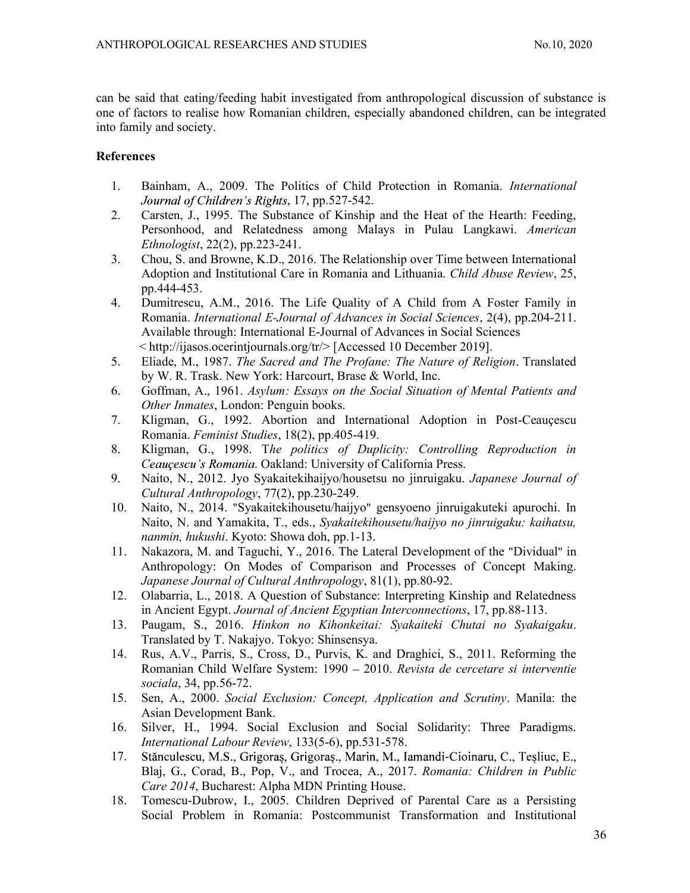can be said that eating/feeding habit investigated from anthropological discussion of substance is one of factors to realise how Romanian children, especially abandoned children, can be integrated into family and society.

# **References**

- 1. Bainham, A., 2009. The Politics of Child Protection in Romania. International Journal of Children's Rights, 17, pp.527-542.
- 2. Carsten, J., 1995. The Substance of Kinship and the Heat of the Hearth: Feeding, Personhood, and Relatedness among Malays in Pulau Langkawi. American Ethnologist, 22(2), pp.223-241.
- 3. Chou, S. and Browne, K.D., 2016. The Relationship over Time between International Adoption and Institutional Care in Romania and Lithuania. Child Abuse Review, 25, pp.444-453.
- 4. Dumitrescu, A.M., 2016. The Life Quality of A Child from A Foster Family in Romania. International E-Journal of Advances in Social Sciences, 2(4), pp.204-211. Available through: International E-Journal of Advances in Social Sciences < http://ijasos.ocerintjournals.org/tr/> [Accessed 10 December 2019].
- 5. Eliade, M., 1987. The Sacred and The Profane: The Nature of Religion. Translated by W. R. Trask. New York: Harcourt, Brase & World, Inc.
- 6. Goffman, A., 1961. Asylum: Essays on the Social Situation of Mental Patients and Other Inmates, London: Penguin books.
- 7. Kligman, G., 1992. Abortion and International Adoption in Post-Ceauçescu Romania. Feminist Studies, 18(2), pp.405-419.
- 8. Kligman, G., 1998. The politics of Duplicity: Controlling Reproduction in Ceauçescu's Romania. Oakland: University of California Press.
- 9. Naito, N., 2012. Jyo Syakaitekihaijyo/housetsu no jinruigaku. Japanese Journal of Cultural Anthropology, 77(2), pp.230-249.
- 10. Naito, N., 2014. "Syakaitekihousetu/haijyo" gensyoeno jinruigakuteki apurochi. In Naito, N. and Yamakita, T., eds., Syakaitekihousetu/haijyo no jinruigaku: kaihatsu, nanmin, hukushi. Kyoto: Showa doh, pp.1-13.
- 11. Nakazora, M. and Taguchi, Y., 2016. The Lateral Development of the "Dividual" in Anthropology: On Modes of Comparison and Processes of Concept Making. Japanese Journal of Cultural Anthropology, 81(1), pp.80-92.
- 12. Olabarria, L., 2018. A Question of Substance: Interpreting Kinship and Relatedness in Ancient Egypt. Journal of Ancient Egyptian Interconnections, 17, pp.88-113.
- 13. Paugam, S., 2016. Hinkon no Kihonkeitai: Syakaiteki Chutai no Syakaigaku. Translated by T. Nakajyo. Tokyo: Shinsensya.
- 14. Rus, A.V., Parris, S., Cross, D., Purvis, K. and Draghici, S., 2011. Reforming the Romanian Child Welfare System: 1990 2010. Revista de cercetare si interventie sociala, 34, pp.56-72.
- 15. Sen, A., 2000. Social Exclusion: Concept, Application and Scrutiny. Manila: the Asian Development Bank.
- 16. Silver, H., 1994. Social Exclusion and Social Solidarity: Three Paradigms. International Labour Review, 133(5-6), pp.531-578.
- 17. Stănculescu, M.S., Grigoraș, Grigoraș., Marin, M., Iamandi-Cioinaru, C., Teșliuc, E., Blaj, G., Corad, B., Pop, V., and Trocea, A., 2017. Romania: Children in Public Care 2014, Bucharest: Alpha MDN Printing House.
- 18. Tomescu-Dubrow, I., 2005. Children Deprived of Parental Care as a Persisting Social Problem in Romania: Postcommunist Transformation and Institutional